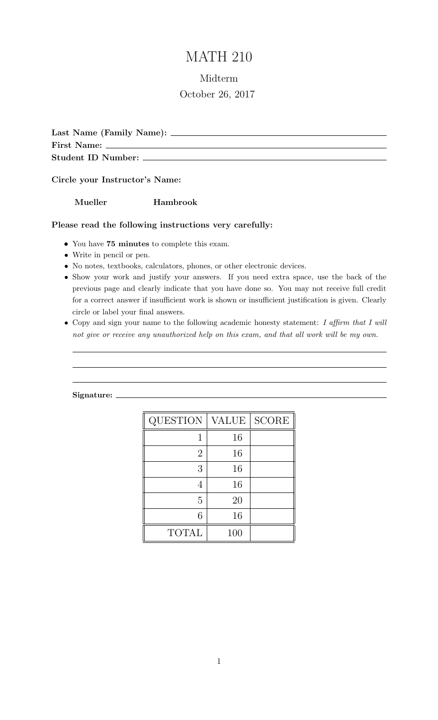# MATH 210

# Midterm October 26, 2017

Last Name (Family Name): First Name: Student ID Number:

Circle your Instructor's Name:

Mueller Hambrook

## Please read the following instructions very carefully:

- You have 75 minutes to complete this exam.
- Write in pencil or pen.
- No notes, textbooks, calculators, phones, or other electronic devices.
- Show your work and justify your answers. If you need extra space, use the back of the previous page and clearly indicate that you have done so. You may not receive full credit for a correct answer if insufficient work is shown or insufficient justification is given. Clearly circle or label your final answers.
- Copy and sign your name to the following academic honesty statement: I affirm that I will not give or receive any unauthorized help on this exam, and that all work will be my own.

#### Signature:

| <b>QUESTION</b> | VALUE | <b>SCORE</b> |
|-----------------|-------|--------------|
|                 | 16    |              |
| $\overline{2}$  | 16    |              |
| 3               | 16    |              |
|                 | 16    |              |
| 5               | 20    |              |
| 6               | 16    |              |
| <b>TOTAL</b>    | 100   |              |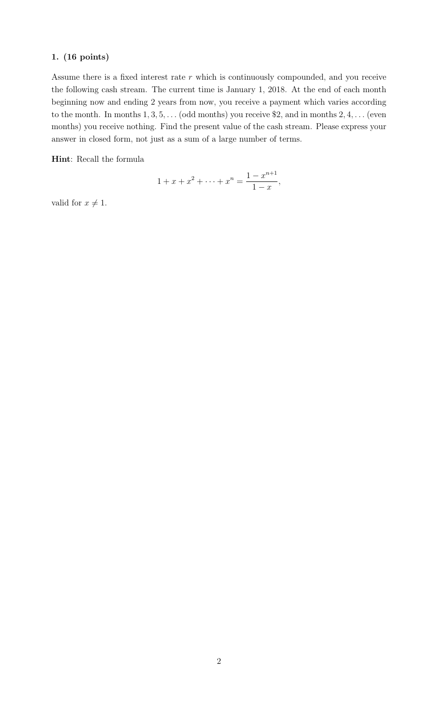Assume there is a fixed interest rate  $r$  which is continuously compounded, and you receive the following cash stream. The current time is January 1, 2018. At the end of each month beginning now and ending 2 years from now, you receive a payment which varies according to the month. In months  $1, 3, 5, \ldots$  (odd months) you receive \$2, and in months  $2, 4, \ldots$  (even months) you receive nothing. Find the present value of the cash stream. Please express your answer in closed form, not just as a sum of a large number of terms.

Hint: Recall the formula

$$
1 + x + x^{2} + \dots + x^{n} = \frac{1 - x^{n+1}}{1 - x},
$$

valid for  $x \neq 1$ .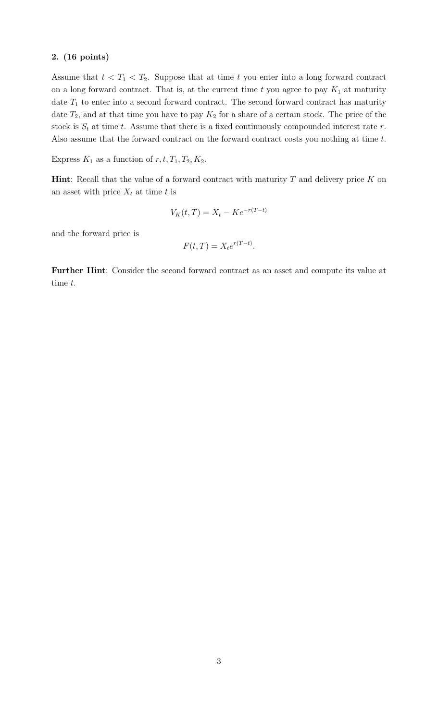Assume that  $t < T_1 < T_2$ . Suppose that at time t you enter into a long forward contract on a long forward contract. That is, at the current time  $t$  you agree to pay  $K_1$  at maturity date  $T_1$  to enter into a second forward contract. The second forward contract has maturity date  $T_2$ , and at that time you have to pay  $K_2$  for a share of a certain stock. The price of the stock is  $S_t$  at time t. Assume that there is a fixed continuously compounded interest rate r. Also assume that the forward contract on the forward contract costs you nothing at time t.

Express  $K_1$  as a function of  $r, t, T_1, T_2, K_2$ .

**Hint**: Recall that the value of a forward contract with maturity  $T$  and delivery price  $K$  on an asset with price  $X_t$  at time t is

$$
V_K(t,T) = X_t - Ke^{-r(T-t)}
$$

and the forward price is

$$
F(t,T) = X_t e^{r(T-t)}.
$$

Further Hint: Consider the second forward contract as an asset and compute its value at time t.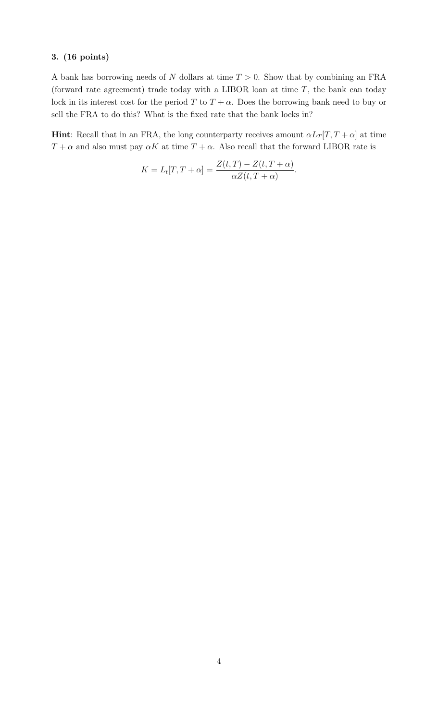A bank has borrowing needs of N dollars at time  $T > 0$ . Show that by combining an FRA (forward rate agreement) trade today with a LIBOR loan at time  $T$ , the bank can today lock in its interest cost for the period T to  $T + \alpha$ . Does the borrowing bank need to buy or sell the FRA to do this? What is the fixed rate that the bank locks in?

**Hint**: Recall that in an FRA, the long counterparty receives amount  $\alpha L_T[T, T + \alpha]$  at time  $T + \alpha$  and also must pay  $\alpha K$  at time  $T + \alpha$ . Also recall that the forward LIBOR rate is

$$
K = L_t[T, T + \alpha] = \frac{Z(t, T) - Z(t, T + \alpha)}{\alpha Z(t, T + \alpha)}.
$$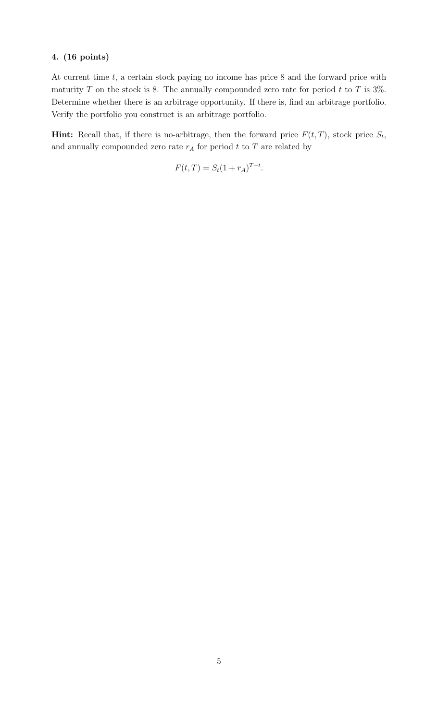At current time  $t$ , a certain stock paying no income has price 8 and the forward price with maturity T on the stock is 8. The annually compounded zero rate for period t to T is  $3\%$ . Determine whether there is an arbitrage opportunity. If there is, find an arbitrage portfolio. Verify the portfolio you construct is an arbitrage portfolio.

**Hint:** Recall that, if there is no-arbitrage, then the forward price  $F(t,T)$ , stock price  $S_t$ , and annually compounded zero rate  $r_A$  for period  $t$  to  $T$  are related by

$$
F(t, T) = S_t (1 + r_A)^{T - t}.
$$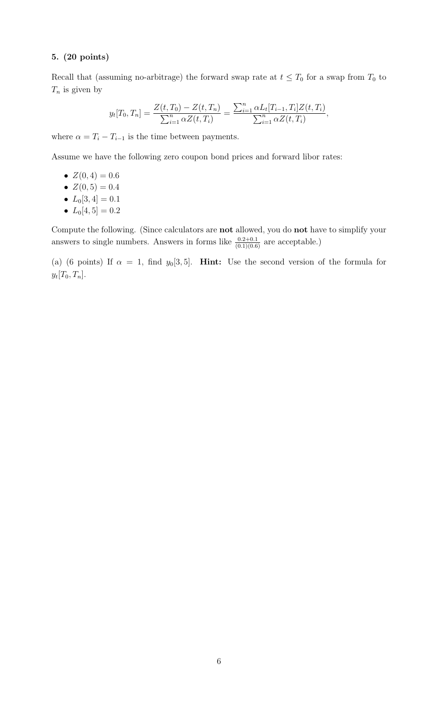## 5. (20 points)

Recall that (assuming no-arbitrage) the forward swap rate at  $t \leq T_0$  for a swap from  $T_0$  to  $T_n$  is given by

$$
y_t[T_0, T_n] = \frac{Z(t, T_0) - Z(t, T_n)}{\sum_{i=1}^n \alpha Z(t, T_i)} = \frac{\sum_{i=1}^n \alpha L_t[T_{i-1}, T_i] Z(t, T_i)}{\sum_{i=1}^n \alpha Z(t, T_i)},
$$

where  $\alpha = T_i - T_{i-1}$  is the time between payments.

Assume we have the following zero coupon bond prices and forward libor rates:

•  $Z(0,4) = 0.6$ 

$$
\bullet \ \ Z(0,5) = 0.4
$$

• 
$$
L_0[3, 4] = 0.1
$$

•  $L_0[4, 5] = 0.2$ 

Compute the following. (Since calculators are not allowed, you do not have to simplify your answers to single numbers. Answers in forms like  $\frac{0.2+0.1}{(0.1)(0.6)}$  are acceptable.)

(a) (6 points) If  $\alpha = 1$ , find  $y_0[3, 5]$ . **Hint:** Use the second version of the formula for  $y_t[T_0, T_n].$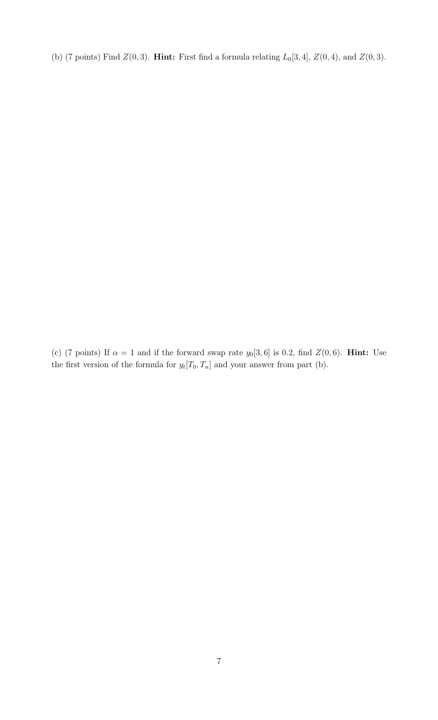(b) (7 points) Find  $Z(0, 3)$ . **Hint:** First find a formula relating  $L_0[3, 4]$ ,  $Z(0, 4)$ , and  $Z(0, 3)$ .

(c) (7 points) If  $\alpha = 1$  and if the forward swap rate  $y_0[3, 6]$  is 0.2, find  $Z(0, 6)$ . **Hint:** Use the first version of the formula for  $y_t[T_0, T_n]$  and your answer from part (b).